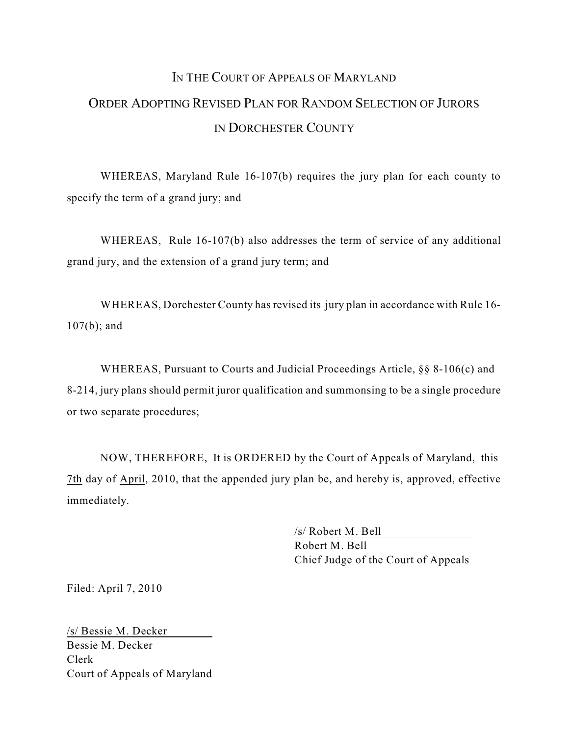# I<sup>N</sup> THE COURT OF APPEALS OF MARYLAND ORDER ADOPTING REVISED PLAN FOR RANDOM SELECTION OF JURORS IN DORCHESTER COUNTY

WHEREAS, Maryland Rule 16-107(b) requires the jury plan for each county to specify the term of a grand jury; and

WHEREAS, Rule 16-107(b) also addresses the term of service of any additional grand jury, and the extension of a grand jury term; and

WHEREAS, Dorchester County has revised its jury plan in accordance with Rule 16- 107(b); and

WHEREAS, Pursuant to Courts and Judicial Proceedings Article, §§ 8-106(c) and 8-214, jury plans should permit juror qualification and summonsing to be a single procedure or two separate procedures;

NOW, THEREFORE, It is ORDERED by the Court of Appeals of Maryland, this 7th day of April, 2010, that the appended jury plan be, and hereby is, approved, effective immediately.

> /s/ Robert M. Bell Robert M. Bell Chief Judge of the Court of Appeals

Filed: April 7, 2010

/s/ Bessie M. Decker Bessie M. Decker Clerk Court of Appeals of Maryland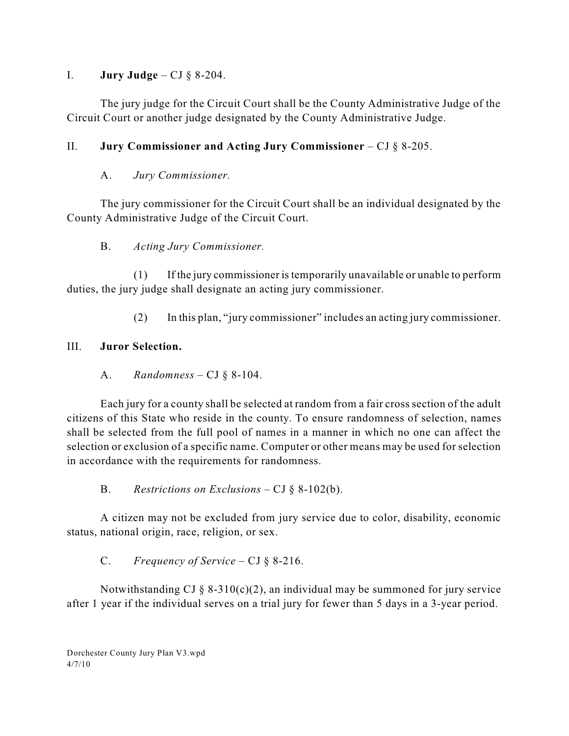#### I. **Jury Judge** – CJ § 8-204.

The jury judge for the Circuit Court shall be the County Administrative Judge of the Circuit Court or another judge designated by the County Administrative Judge.

# II. **Jury Commissioner and Acting Jury Commissioner** – CJ § 8-205.

# A. *Jury Commissioner.*

The jury commissioner for the Circuit Court shall be an individual designated by the County Administrative Judge of the Circuit Court.

#### B. *Acting Jury Commissioner.*

(1) If the jury commissioner istemporarily unavailable or unable to perform duties, the jury judge shall designate an acting jury commissioner.

(2) In this plan, "jury commissioner" includes an acting jury commissioner.

# III. **Juror Selection.**

A. *Randomness –* CJ § 8-104.

Each jury for a county shall be selected at random from a fair cross section of the adult citizens of this State who reside in the county. To ensure randomness of selection, names shall be selected from the full pool of names in a manner in which no one can affect the selection or exclusion of a specific name. Computer or other means may be used for selection in accordance with the requirements for randomness.

B. *Restrictions on Exclusions* – CJ § 8-102(b).

A citizen may not be excluded from jury service due to color, disability, economic status, national origin, race, religion, or sex.

# C. *Frequency of Service* – CJ § 8-216.

Notwithstanding CJ  $\S$  8-310(c)(2), an individual may be summoned for jury service after 1 year if the individual serves on a trial jury for fewer than 5 days in a 3-year period.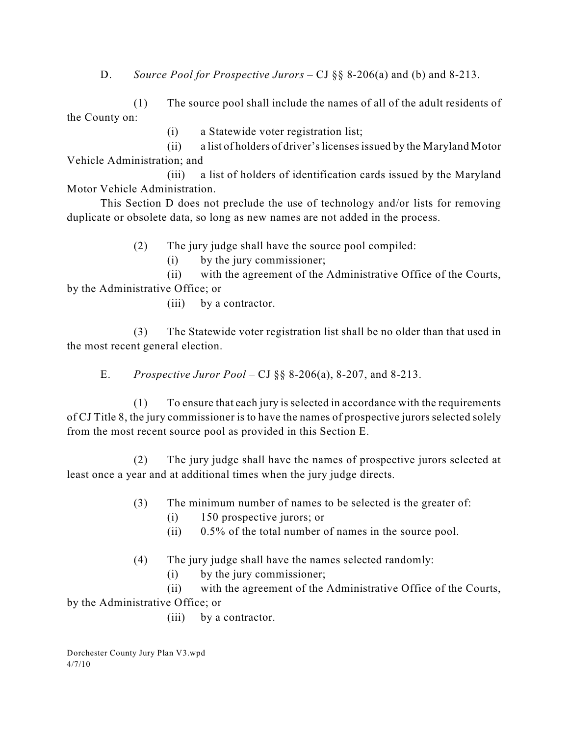D. *Source Pool for Prospective Jurors* – CJ §§ 8-206(a) and (b) and 8-213.

(1) The source pool shall include the names of all of the adult residents of the County on:

(i) a Statewide voter registration list;

(ii) a list of holders of driver'slicensesissued by the Maryland Motor Vehicle Administration; and

(iii) a list of holders of identification cards issued by the Maryland Motor Vehicle Administration.

This Section D does not preclude the use of technology and/or lists for removing duplicate or obsolete data, so long as new names are not added in the process.

(2) The jury judge shall have the source pool compiled:

(i) by the jury commissioner;

(ii) with the agreement of the Administrative Office of the Courts, by the Administrative Office; or

(iii) by a contractor.

(3) The Statewide voter registration list shall be no older than that used in the most recent general election.

E. *Prospective Juror Pool* – CJ §§ 8-206(a), 8-207, and 8-213.

(1) To ensure that each jury is selected in accordance with the requirements of CJ Title 8, the jury commissioner is to have the names of prospective jurors selected solely from the most recent source pool as provided in this Section E.

(2) The jury judge shall have the names of prospective jurors selected at least once a year and at additional times when the jury judge directs.

- (3) The minimum number of names to be selected is the greater of:
	- (i) 150 prospective jurors; or
	- (ii) 0.5% of the total number of names in the source pool.
- (4) The jury judge shall have the names selected randomly:
	- (i) by the jury commissioner;

(ii) with the agreement of the Administrative Office of the Courts, by the Administrative Office; or

(iii) by a contractor.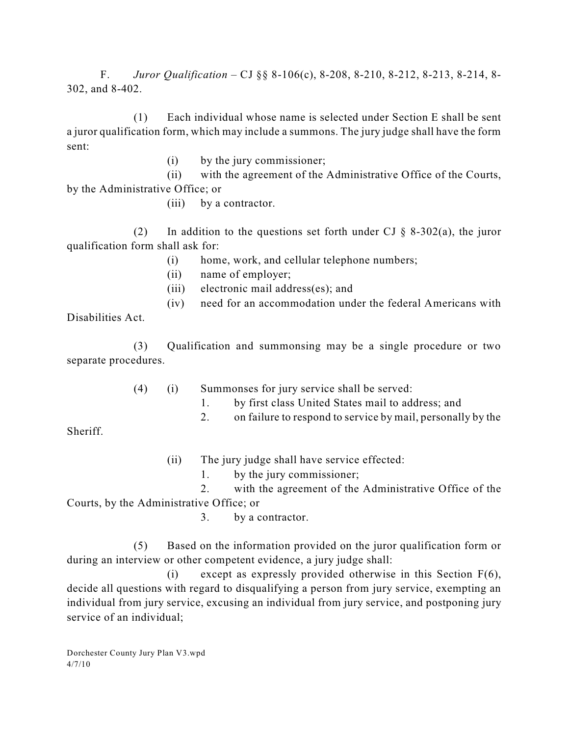F. *Juror Qualification* – CJ §§ 8-106(c), 8-208, 8-210, 8-212, 8-213, 8-214, 8- 302, and 8-402.

(1) Each individual whose name is selected under Section E shall be sent a juror qualification form, which may include a summons. The jury judge shall have the form sent:

(i) by the jury commissioner;

(ii) with the agreement of the Administrative Office of the Courts, by the Administrative Office; or

(iii) by a contractor.

(2) In addition to the questions set forth under CJ  $\S$  8-302(a), the juror qualification form shall ask for:

- (i) home, work, and cellular telephone numbers;
- (ii) name of employer;
- (iii) electronic mail address(es); and
- (iv) need for an accommodation under the federal Americans with

Disabilities Act.

(3) Qualification and summonsing may be a single procedure or two separate procedures.

(4) (i) Summonses for jury service shall be served:

- 1. by first class United States mail to address; and
- 2. on failure to respond to service by mail, personally by the

Sheriff.

- (ii) The jury judge shall have service effected:
	- 1. by the jury commissioner;

2. with the agreement of the Administrative Office of the

Courts, by the Administrative Office; or

3. by a contractor.

(5) Based on the information provided on the juror qualification form or during an interview or other competent evidence, a jury judge shall:

(i) except as expressly provided otherwise in this Section F(6), decide all questions with regard to disqualifying a person from jury service, exempting an individual from jury service, excusing an individual from jury service, and postponing jury service of an individual;

Dorchester County Jury Plan V3.wpd 4/7/10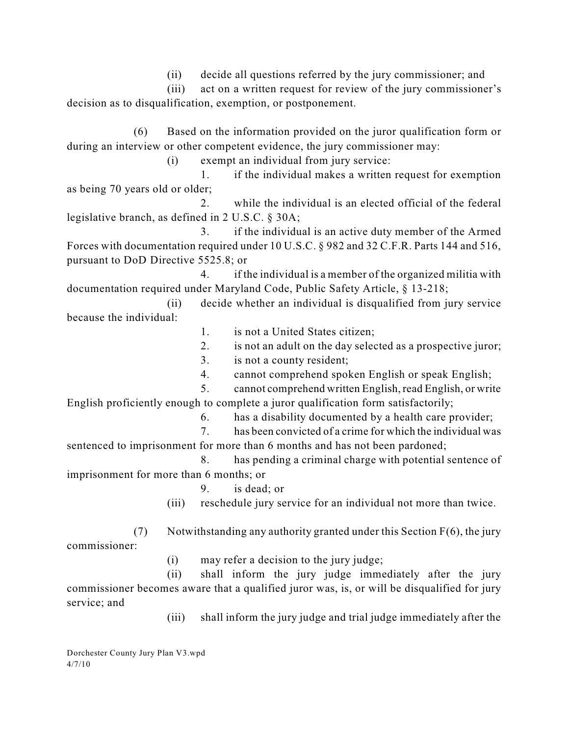(ii) decide all questions referred by the jury commissioner; and

(iii) act on a written request for review of the jury commissioner's decision as to disqualification, exemption, or postponement.

(6) Based on the information provided on the juror qualification form or during an interview or other competent evidence, the jury commissioner may:

(i) exempt an individual from jury service:

1. if the individual makes a written request for exemption as being 70 years old or older;

2. while the individual is an elected official of the federal legislative branch, as defined in 2 U.S.C. § 30A;

3. if the individual is an active duty member of the Armed Forces with documentation required under 10 U.S.C. § 982 and 32 C.F.R. Parts 144 and 516, pursuant to DoD Directive 5525.8; or

4. if the individual is a member of the organized militia with documentation required under Maryland Code, Public Safety Article, § 13-218;

(ii) decide whether an individual is disqualified from jury service because the individual:

- 1. is not a United States citizen;
- 2. is not an adult on the day selected as a prospective juror;
- 3. is not a county resident;
- 4. cannot comprehend spoken English or speak English;
- 5. cannot comprehend written English, read English, or write English proficiently enough to complete a juror qualification form satisfactorily;
	- 6. has a disability documented by a health care provider;
- 7. has been convicted of a crime for which the individual was sentenced to imprisonment for more than 6 months and has not been pardoned;
- 8. has pending a criminal charge with potential sentence of imprisonment for more than 6 months; or
	- 9. is dead; or
	- (iii) reschedule jury service for an individual not more than twice.

(7) Notwithstanding any authority granted under this Section  $F(6)$ , the jury commissioner:

(i) may refer a decision to the jury judge;

(ii) shall inform the jury judge immediately after the jury commissioner becomes aware that a qualified juror was, is, or will be disqualified for jury service; and

(iii) shall inform the jury judge and trial judge immediately after the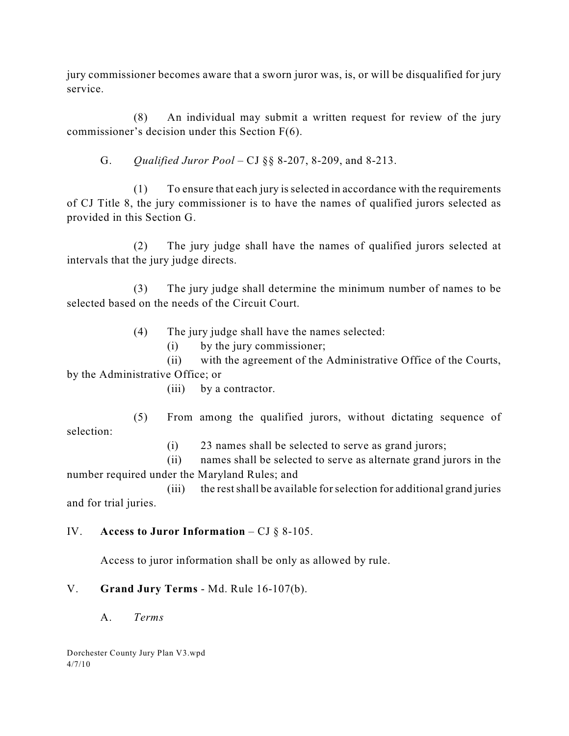jury commissioner becomes aware that a sworn juror was, is, or will be disqualified for jury service.

(8) An individual may submit a written request for review of the jury commissioner's decision under this Section F(6).

G. *Qualified Juror Pool* – CJ §§ 8-207, 8-209, and 8-213.

(1) To ensure that each jury is selected in accordance with the requirements of CJ Title 8, the jury commissioner is to have the names of qualified jurors selected as provided in this Section G.

(2) The jury judge shall have the names of qualified jurors selected at intervals that the jury judge directs.

(3) The jury judge shall determine the minimum number of names to be selected based on the needs of the Circuit Court.

(4) The jury judge shall have the names selected:

(i) by the jury commissioner;

(ii) with the agreement of the Administrative Office of the Courts, by the Administrative Office; or

(iii) by a contractor.

(5) From among the qualified jurors, without dictating sequence of selection:

(i) 23 names shall be selected to serve as grand jurors;

(ii) names shall be selected to serve as alternate grand jurors in the number required under the Maryland Rules; and

(iii) the restshall be available forselection for additional grand juries and for trial juries.

#### IV. **Access to Juror Information** – CJ § 8-105.

Access to juror information shall be only as allowed by rule.

# V. **Grand Jury Terms** - Md. Rule 16-107(b).

A. *Terms*

Dorchester County Jury Plan V3.wpd 4/7/10